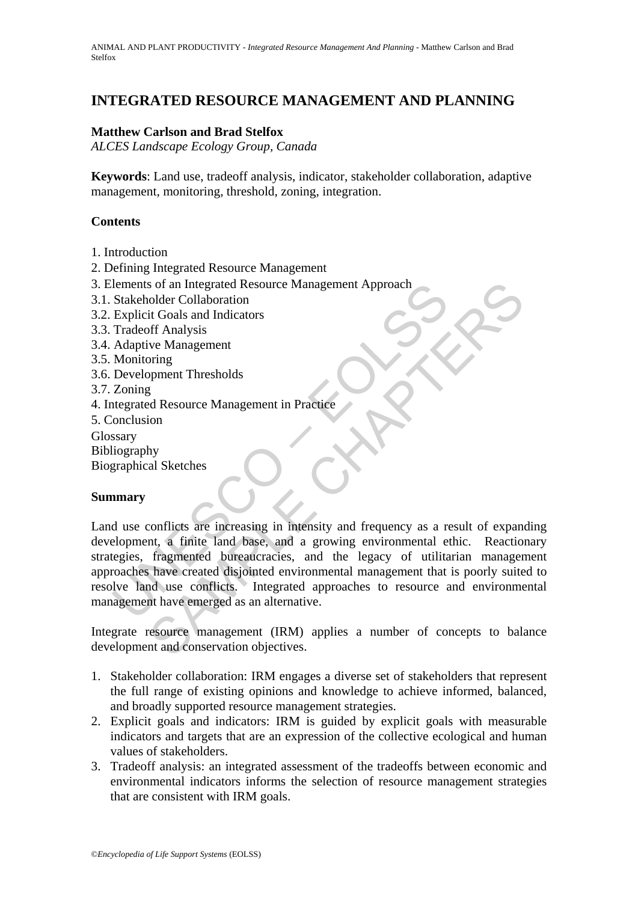# **INTEGRATED RESOURCE MANAGEMENT AND PLANNING**

## **Matthew Carlson and Brad Stelfox**

*ALCES Landscape Ecology Group, Canada* 

**Keywords**: Land use, tradeoff analysis, indicator, stakeholder collaboration, adaptive management, monitoring, threshold, zoning, integration.

### **Contents**

- 1. Introduction
- 2. Defining Integrated Resource Management
- 3. Elements of an Integrated Resource Management Approach
- 3.1. Stakeholder Collaboration
- 3.2. Explicit Goals and Indicators
- 3.3. Tradeoff Analysis
- 3.4. Adaptive Management
- 3.5. Monitoring
- 3.6. Development Thresholds
- 3.7. Zoning
- 4. Integrated Resource Management in Practice
- 5. Conclusion

Glossary

Bibliography

Biographical Sketches

## **Summary**

Explored Management Approach<br>
Stakeholder Collaboration<br>
Stakeholder Collaboration<br>
Tradeoff Analysis<br>
Tradeoff Analysis<br>
Adaptive Management<br>
Monitoring<br>
Development Thresholds<br>
Zoning<br>
Development Thresholds<br>
Zoning<br>
Sta So fan Integrated Resource Management Approach<br>
it Goals and Indicators<br>
it Goals and Indicators<br>
or discussing the discussing opment Thresholds<br>
For Analysis<br>
Sed Resource Management in Practice<br>
Sed Resource Management i Land use conflicts are increasing in intensity and frequency as a result of expanding development, a finite land base, and a growing environmental ethic. Reactionary strategies, fragmented bureaucracies, and the legacy of utilitarian management approaches have created disjointed environmental management that is poorly suited to resolve land use conflicts. Integrated approaches to resource and environmental management have emerged as an alternative.

Integrate resource management (IRM) applies a number of concepts to balance development and conservation objectives.

- 1. Stakeholder collaboration: IRM engages a diverse set of stakeholders that represent the full range of existing opinions and knowledge to achieve informed, balanced, and broadly supported resource management strategies.
- 2. Explicit goals and indicators: IRM is guided by explicit goals with measurable indicators and targets that are an expression of the collective ecological and human values of stakeholders.
- 3. Tradeoff analysis: an integrated assessment of the tradeoffs between economic and environmental indicators informs the selection of resource management strategies that are consistent with IRM goals.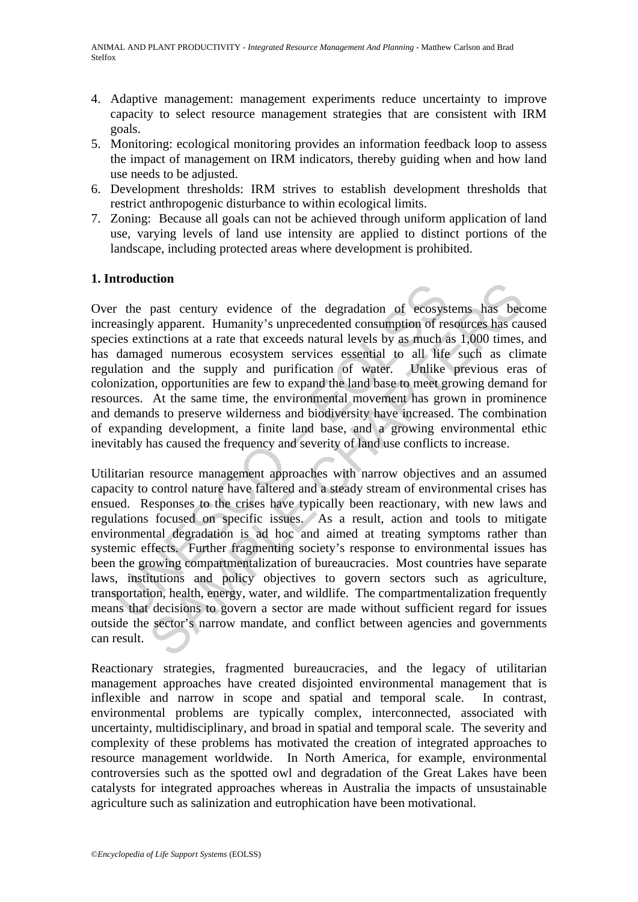- 4. Adaptive management: management experiments reduce uncertainty to improve capacity to select resource management strategies that are consistent with IRM goals.
- 5. Monitoring: ecological monitoring provides an information feedback loop to assess the impact of management on IRM indicators, thereby guiding when and how land use needs to be adjusted.
- 6. Development thresholds: IRM strives to establish development thresholds that restrict anthropogenic disturbance to within ecological limits.
- 7. Zoning: Because all goals can not be achieved through uniform application of land use, varying levels of land use intensity are applied to distinct portions of the landscape, including protected areas where development is prohibited.

## **1. Introduction**

Over the past century evidence of the degradation of ecosystems has become increasingly apparent. Humanity's unprecedented consumption of resources has caused species extinctions at a rate that exceeds natural levels by as much as 1,000 times, and has damaged numerous ecosystem services essential to all life such as climate regulation and the supply and purification of water. Unlike previous eras of colonization, opportunities are few to expand the land base to meet growing demand for resources. At the same time, the environmental movement has grown in prominence and demands to preserve wilderness and biodiversity have increased. The combination of expanding development, a finite land base, and a growing environmental ethic inevitably has caused the frequency and severity of land use conflicts to increase.

In volution of ecosystems and vertical production<br>of ecosystemsingly apparent. Humanity's unprecedented consumption of recise<br>existencions at a rate that exceeds natural levels by as much a<br>damaged numerous ecosystem servi community evidence of the degradation of ecosystems has been y apparent. Humanity's unprecedented consumption of resources has can inctions at a rate that exceeds natural levels by as much as 1,000 times, eiged numerous ec Utilitarian resource management approaches with narrow objectives and an assumed capacity to control nature have faltered and a steady stream of environmental crises has ensued. Responses to the crises have typically been reactionary, with new laws and regulations focused on specific issues. As a result, action and tools to mitigate environmental degradation is ad hoc and aimed at treating symptoms rather than systemic effects. Further fragmenting society's response to environmental issues has been the growing compartmentalization of bureaucracies. Most countries have separate laws, institutions and policy objectives to govern sectors such as agriculture, transportation, health, energy, water, and wildlife. The compartmentalization frequently means that decisions to govern a sector are made without sufficient regard for issues outside the sector's narrow mandate, and conflict between agencies and governments can result.

Reactionary strategies, fragmented bureaucracies, and the legacy of utilitarian management approaches have created disjointed environmental management that is inflexible and narrow in scope and spatial and temporal scale. In contrast, environmental problems are typically complex, interconnected, associated with uncertainty, multidisciplinary, and broad in spatial and temporal scale. The severity and complexity of these problems has motivated the creation of integrated approaches to resource management worldwide. In North America, for example, environmental controversies such as the spotted owl and degradation of the Great Lakes have been catalysts for integrated approaches whereas in Australia the impacts of unsustainable agriculture such as salinization and eutrophication have been motivational.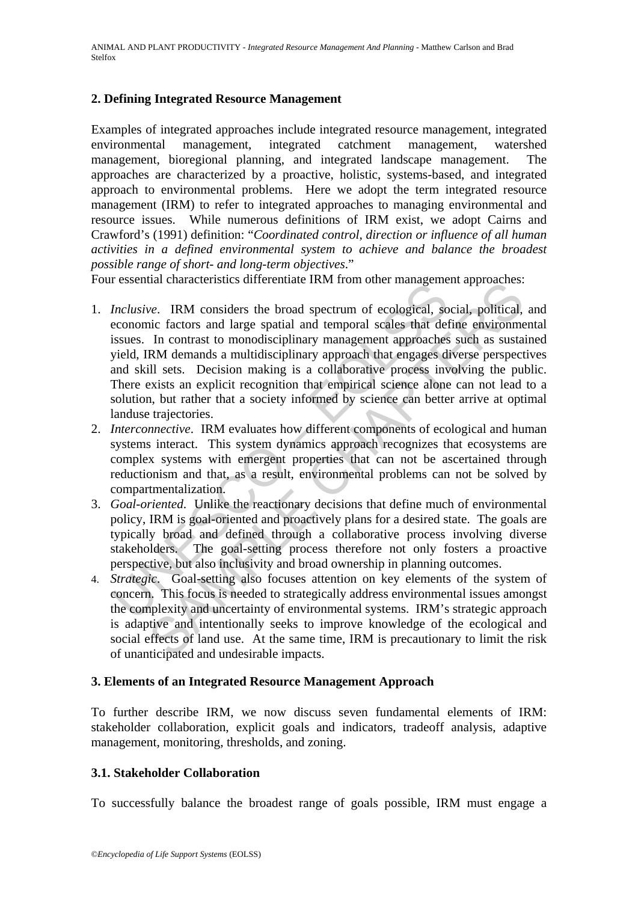### **2. Defining Integrated Resource Management**

Examples of integrated approaches include integrated resource management, integrated environmental management, integrated catchment management, watershed management, bioregional planning, and integrated landscape management. The approaches are characterized by a proactive, holistic, systems-based, and integrated approach to environmental problems. Here we adopt the term integrated resource management (IRM) to refer to integrated approaches to managing environmental and resource issues. While numerous definitions of IRM exist, we adopt Cairns and Crawford's (1991) definition: "*Coordinated control, direction or influence of all human activities in a defined environmental system to achieve and balance the broadest possible range of short- and long-term objectives*."

Four essential characteristics differentiate IRM from other management approaches:

- Inclusive. IRM considers the broad spectrum of ecological, so<br>economic factors and large spatial and temporal scales that defisives. In contrast to monodisciplinary management approaches<br>yield, IRM demands a multidisciplin we. IRM considers three hord spectrum of ecological, social, political, the fractors and large spatial and temporal scales that define environmes In contrast to monodisciplinary management approaches such as usual RM deman 1. *Inclusive*. IRM considers the broad spectrum of ecological, social, political, and economic factors and large spatial and temporal scales that define environmental issues. In contrast to monodisciplinary management approaches such as sustained yield, IRM demands a multidisciplinary approach that engages diverse perspectives and skill sets. Decision making is a collaborative process involving the public. There exists an explicit recognition that empirical science alone can not lead to a solution, but rather that a society informed by science can better arrive at optimal landuse trajectories.
- 2. *Interconnective*. IRM evaluates how different components of ecological and human systems interact. This system dynamics approach recognizes that ecosystems are complex systems with emergent properties that can not be ascertained through reductionism and that, as a result, environmental problems can not be solved by compartmentalization.
- 3. *Goal-oriented*. Unlike the reactionary decisions that define much of environmental policy, IRM is goal-oriented and proactively plans for a desired state. The goals are typically broad and defined through a collaborative process involving diverse stakeholders. The goal-setting process therefore not only fosters a proactive perspective, but also inclusivity and broad ownership in planning outcomes.
- 4. *Strategic*. Goal-setting also focuses attention on key elements of the system of concern. This focus is needed to strategically address environmental issues amongst the complexity and uncertainty of environmental systems. IRM's strategic approach is adaptive and intentionally seeks to improve knowledge of the ecological and social effects of land use. At the same time, IRM is precautionary to limit the risk of unanticipated and undesirable impacts.

### **3. Elements of an Integrated Resource Management Approach**

To further describe IRM, we now discuss seven fundamental elements of IRM: stakeholder collaboration, explicit goals and indicators, tradeoff analysis, adaptive management, monitoring, thresholds, and zoning.

### **3.1. Stakeholder Collaboration**

To successfully balance the broadest range of goals possible, IRM must engage a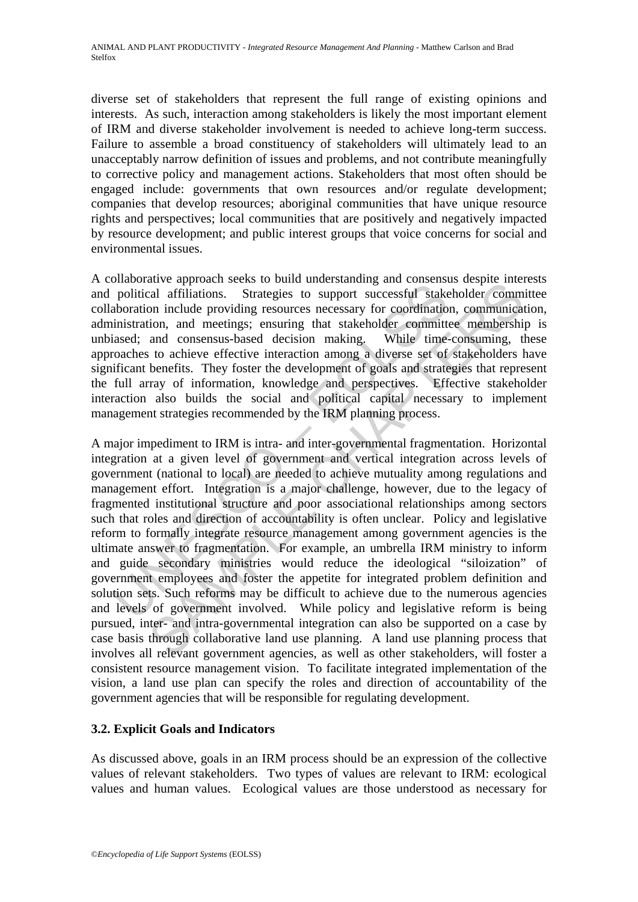diverse set of stakeholders that represent the full range of existing opinions and interests. As such, interaction among stakeholders is likely the most important element of IRM and diverse stakeholder involvement is needed to achieve long-term success. Failure to assemble a broad constituency of stakeholders will ultimately lead to an unacceptably narrow definition of issues and problems, and not contribute meaningfully to corrective policy and management actions. Stakeholders that most often should be engaged include: governments that own resources and/or regulate development; companies that develop resources; aboriginal communities that have unique resource rights and perspectives; local communities that are positively and negatively impacted by resource development; and public interest groups that voice concerns for social and environmental issues.

A collaborative approach seeks to build understanding and consensus despite interests and political affiliations. Strategies to support successful stakeholder committee collaboration include providing resources necessary for coordination, communication, administration, and meetings; ensuring that stakeholder committee membership is unbiased; and consensus-based decision making. While time-consuming, these approaches to achieve effective interaction among a diverse set of stakeholders have significant benefits. They foster the development of goals and strategies that represent the full array of information, knowledge and perspectives. Effective stakeholder interaction also builds the social and political capital necessary to implement management strategies recommended by the IRM planning process.

monizoura upproacular secures to our uncerstanding and consideration political affiliations. Strategies to support successful stake<br>aboration include providing resources necessary for coordinatio<br>inistration, and meetings; and consensus-bases to out uncerstanting and consensus useper interests of outline<br>and affiliations. Strategies to support successful stakeholder common include providing resources necessary for coordination, communication A major impediment to IRM is intra- and inter-governmental fragmentation. Horizontal integration at a given level of government and vertical integration across levels of government (national to local) are needed to achieve mutuality among regulations and management effort. Integration is a major challenge, however, due to the legacy of fragmented institutional structure and poor associational relationships among sectors such that roles and direction of accountability is often unclear. Policy and legislative reform to formally integrate resource management among government agencies is the ultimate answer to fragmentation. For example, an umbrella IRM ministry to inform and guide secondary ministries would reduce the ideological "siloization" of government employees and foster the appetite for integrated problem definition and solution sets. Such reforms may be difficult to achieve due to the numerous agencies and levels of government involved. While policy and legislative reform is being pursued, inter- and intra-governmental integration can also be supported on a case by case basis through collaborative land use planning. A land use planning process that involves all relevant government agencies, as well as other stakeholders, will foster a consistent resource management vision. To facilitate integrated implementation of the vision, a land use plan can specify the roles and direction of accountability of the government agencies that will be responsible for regulating development.

## **3.2. Explicit Goals and Indicators**

As discussed above, goals in an IRM process should be an expression of the collective values of relevant stakeholders. Two types of values are relevant to IRM: ecological values and human values. Ecological values are those understood as necessary for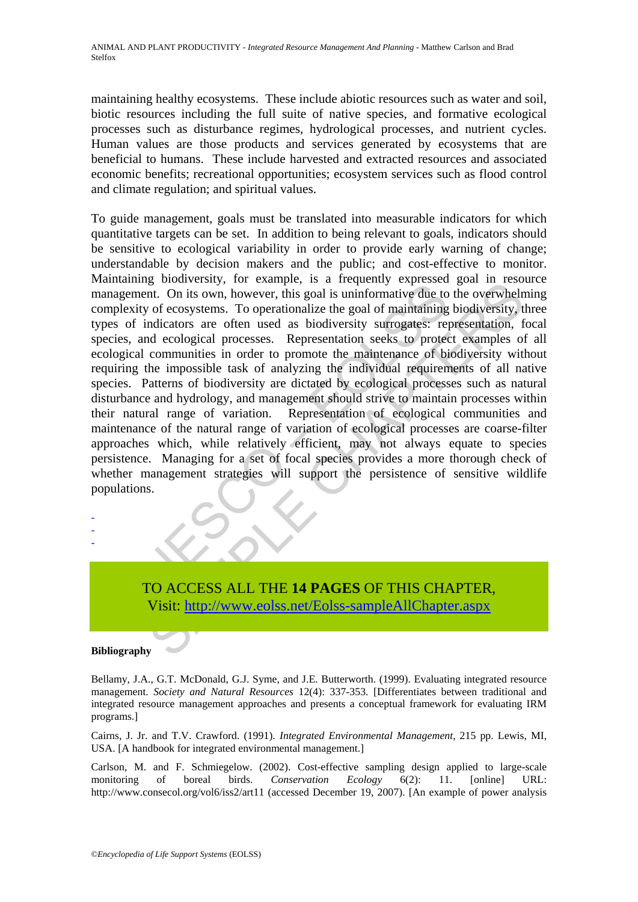maintaining healthy ecosystems. These include abiotic resources such as water and soil, biotic resources including the full suite of native species, and formative ecological processes such as disturbance regimes, hydrological processes, and nutrient cycles. Human values are those products and services generated by ecosystems that are beneficial to humans. These include harvested and extracted resources and associated economic benefits; recreational opportunities; ecosystem services such as flood control and climate regulation; and spiritual values.

manimy broadcastry, to canding the summative due to an<br>agement. On its own, however, this goal is uninformative due to<br>plexity of ecosystems. To operationalize the goal of maintaining<br>so of indicators are often used as bio g conversary, or example, is a released must control the overversion and a measure of ecosystems. To operationalize the goal of maintaining biodiversity, or example of ecosystems. To operationalize the goal of maintaining To guide management, goals must be translated into measurable indicators for which quantitative targets can be set. In addition to being relevant to goals, indicators should be sensitive to ecological variability in order to provide early warning of change; understandable by decision makers and the public; and cost-effective to monitor. Maintaining biodiversity, for example, is a frequently expressed goal in resource management. On its own, however, this goal is uninformative due to the overwhelming complexity of ecosystems. To operationalize the goal of maintaining biodiversity, three types of indicators are often used as biodiversity surrogates: representation, focal species, and ecological processes. Representation seeks to protect examples of all ecological communities in order to promote the maintenance of biodiversity without requiring the impossible task of analyzing the individual requirements of all native species. Patterns of biodiversity are dictated by ecological processes such as natural disturbance and hydrology, and management should strive to maintain processes within their natural range of variation. Representation of ecological communities and maintenance of the natural range of variation of ecological processes are coarse-filter approaches which, while relatively efficient, may not always equate to species persistence. Managing for a set of focal species provides a more thorough check of whether management strategies will support the persistence of sensitive wildlife populations.

TO ACCESS ALL THE **14 PAGES** OF THIS CHAPTER, Visit: http://www.eolss.net/Eolss-sampleAllChapter.aspx

#### **Bibliography**

- - -

Bellamy, J.A., G.T. McDonald, G.J. Syme, and J.E. Butterworth. (1999). Evaluating integrated resource management. *Society and Natural Resources* 12(4): 337-353. [Differentiates between traditional and integrated resource management approaches and presents a conceptual framework for evaluating IRM programs.]

Cairns, J. Jr. and T.V. Crawford. (1991). *Integrated Environmental Management,* 215 pp. Lewis, MI, USA. [A handbook for integrated environmental management.]

Carlson, M. and F. Schmiegelow. (2002). Cost-effective sampling design applied to large-scale monitoring of boreal birds. *Conservation Ecology* 6(2): 11. [online] URL: http://www.consecol.org/vol6/iss2/art11 (accessed December 19, 2007). [An example of power analysis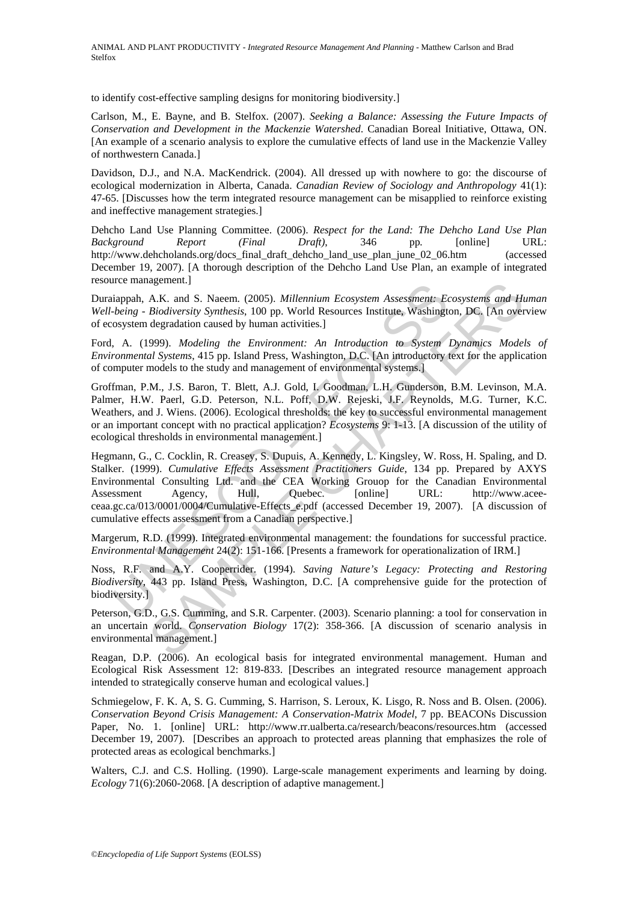to identify cost-effective sampling designs for monitoring biodiversity.]

Carlson, M., E. Bayne, and B. Stelfox. (2007). *Seeking a Balance: Assessing the Future Impacts of Conservation and Development in the Mackenzie Watershed*. Canadian Boreal Initiative, Ottawa, ON. [An example of a scenario analysis to explore the cumulative effects of land use in the Mackenzie Valley of northwestern Canada.]

Davidson, D.J., and N.A. MacKendrick. (2004). All dressed up with nowhere to go: the discourse of ecological modernization in Alberta, Canada. *Canadian Review of Sociology and Anthropology* 41(1): 47-65. [Discusses how the term integrated resource management can be misapplied to reinforce existing and ineffective management strategies.]

Dehcho Land Use Planning Committee. (2006). *Respect for the Land: The Dehcho Land Use Plan Background Report (Final Draft)*, 346 pp*.* [online] URL: http://www.dehcholands.org/docs\_final\_draft\_dehcho\_land\_use\_plan\_june\_02\_06.htm (accessed December 19, 2007). [A thorough description of the Dehcho Land Use Plan, an example of integrated resource management.]

Duraiappah, A.K. and S. Naeem. (2005). *Millennium Ecosystem Assessment: Ecosystems and Human Well-being - Biodiversity Synthesis*, 100 pp. World Resources Institute, Washington, DC. [An overview of ecosystem degradation caused by human activities.]

Ford, A. (1999). *Modeling the Environment: An Introduction to System Dynamics Models of Environmental Systems*, 415 pp. Island Press, Washington, D.C. [An introductory text for the application of computer models to the study and management of environmental systems.]

Groffman, P.M., J.S. Baron, T. Blett, A.J. Gold, I. Goodman, L.H. Gunderson, B.M. Levinson, M.A. Palmer, H.W. Paerl, G.D. Peterson, N.L. Poff, D.W. Rejeski, J.F. Reynolds, M.G. Turner, K.C. Weathers, and J. Wiens. (2006). Ecological thresholds: the key to successful environmental management or an important concept with no practical application? *Ecosystems* 9: 1-13. [A discussion of the utility of ecological thresholds in environmental management.]

nce management, 1<br>
identity. and S. Naeem. (2005). *Millemnium Ecosystem Assessment: Eabeng - Biodiversity Synthesis*, 100 pp. World Resources Institute, Washingto<br>
osystem degradation caused by human activities.]<br>
A. (199 agement.]<br>
A.K. and S. Nacem. (2005). *Millennium Ecosystem Assessment: Ecosystems and H. Biodiversity Synthesis*, 100 pp. World Resources Institute, Washington, D.C. [An over<br>
degradation caused by human activities.]<br>  $99$ Hegmann, G., C. Cocklin, R. Creasey, S. Dupuis, A. Kennedy, L. Kingsley, W. Ross, H. Spaling, and D. Stalker. (1999). *Cumulative Effects Assessment Practitioners Guide*, 134 pp. Prepared by AXYS Environmental Consulting Ltd. and the CEA Working Grouop for the Canadian Environmental Assessment Agency, Hull, Quebec. [online] URL: http://www.aceeceaa.gc.ca/013/0001/0004/Cumulative-Effects\_e.pdf (accessed December 19, 2007). [A discussion of cumulative effects assessment from a Canadian perspective.]

Margerum, R.D. (1999). Integrated environmental management: the foundations for successful practice. *Environmental Management* 24(2): 151-166. [Presents a framework for operationalization of IRM.]

Noss, R.F. and A.Y. Cooperrider. (1994). *Saving Nature's Legacy: Protecting and Restoring Biodiversity*, 443 pp. Island Press, Washington, D.C. [A comprehensive guide for the protection of biodiversity.]

Peterson, G.D., G.S. Cumming, and S.R. Carpenter. (2003). Scenario planning: a tool for conservation in an uncertain world. *Conservation Biology* 17(2): 358-366. [A discussion of scenario analysis in environmental management.]

Reagan, D.P. (2006). An ecological basis for integrated environmental management. Human and Ecological Risk Assessment 12: 819-833. [Describes an integrated resource management approach intended to strategically conserve human and ecological values.]

Schmiegelow, F. K. A, S. G. Cumming, S. Harrison, S. Leroux, K. Lisgo, R. Noss and B. Olsen. (2006). *Conservation Beyond Crisis Management: A Conservation-Matrix Model*, 7 pp. BEACONs Discussion Paper, No. 1. [online] URL: http://www.rr.ualberta.ca/research/beacons/resources.htm (accessed December 19, 2007). [Describes an approach to protected areas planning that emphasizes the role of protected areas as ecological benchmarks.]

Walters, C.J. and C.S. Holling. (1990). Large-scale management experiments and learning by doing. *Ecology* 71(6):2060-2068. [A description of adaptive management.]